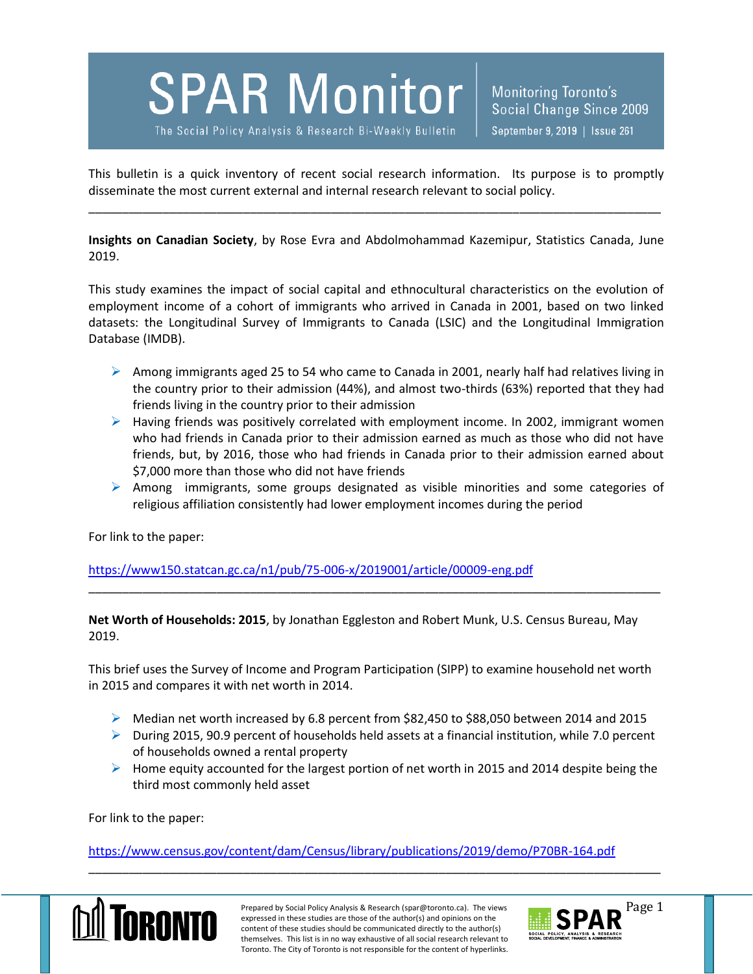**SPAR Monitor** 

The Social Policy Analysis & Research Bi-Weekly Bulletin

Monitoring Toronto's Social Change Since 2009 September 9, 2019 | Issue 261

This bulletin is a quick inventory of recent social research information. Its purpose is to promptly disseminate the most current external and internal research relevant to social policy.

\_\_\_\_\_\_\_\_\_\_\_\_\_\_\_\_\_\_\_\_\_\_\_\_\_\_\_\_\_\_\_\_\_\_\_\_\_\_\_\_\_\_\_\_\_\_\_\_\_\_\_\_\_\_\_\_\_\_\_\_\_\_\_\_\_\_\_\_\_\_\_\_\_\_\_\_\_\_\_\_\_\_\_\_\_

**Insights on Canadian Society**, by Rose Evra and Abdolmohammad Kazemipur, Statistics Canada, June 2019.

This study examines the impact of social capital and ethnocultural characteristics on the evolution of employment income of a cohort of immigrants who arrived in Canada in 2001, based on two linked datasets: the Longitudinal Survey of Immigrants to Canada (LSIC) and the Longitudinal Immigration Database (IMDB).

- $\triangleright$  Among immigrants aged 25 to 54 who came to Canada in 2001, nearly half had relatives living in the country prior to their admission (44%), and almost two-thirds (63%) reported that they had friends living in the country prior to their admission
- $\triangleright$  Having friends was positively correlated with employment income. In 2002, immigrant women who had friends in Canada prior to their admission earned as much as those who did not have friends, but, by 2016, those who had friends in Canada prior to their admission earned about \$7,000 more than those who did not have friends
- $\triangleright$  Among immigrants, some groups designated as visible minorities and some categories of religious affiliation consistently had lower employment incomes during the period

For link to the paper:

<https://www150.statcan.gc.ca/n1/pub/75-006-x/2019001/article/00009-eng.pdf>

**Net Worth of Households: 2015**, by Jonathan Eggleston and Robert Munk, U.S. Census Bureau, May 2019.

\_\_\_\_\_\_\_\_\_\_\_\_\_\_\_\_\_\_\_\_\_\_\_\_\_\_\_\_\_\_\_\_\_\_\_\_\_\_\_\_\_\_\_\_\_\_\_\_\_\_\_\_\_\_\_\_\_\_\_\_\_\_\_\_\_\_\_\_\_\_\_\_\_\_\_\_\_\_\_\_\_\_\_\_\_

This brief uses the Survey of Income and Program Participation (SIPP) to examine household net worth in 2015 and compares it with net worth in 2014.

- $\triangleright$  Median net worth increased by 6.8 percent from \$82,450 to \$88,050 between 2014 and 2015
- $\triangleright$  During 2015, 90.9 percent of households held assets at a financial institution, while 7.0 percent of households owned a rental property
- $\triangleright$  Home equity accounted for the largest portion of net worth in 2015 and 2014 despite being the third most commonly held asset

For link to the paper:

<https://www.census.gov/content/dam/Census/library/publications/2019/demo/P70BR-164.pdf>



\_\_\_\_\_\_\_\_\_\_\_\_\_\_\_\_\_\_\_\_\_\_\_\_\_\_\_\_\_\_\_\_\_\_\_\_\_\_\_\_\_\_\_\_\_\_\_\_\_\_\_\_\_\_\_\_\_\_\_\_\_\_\_\_\_\_\_\_\_\_\_\_\_\_\_\_\_\_\_\_\_\_\_\_\_

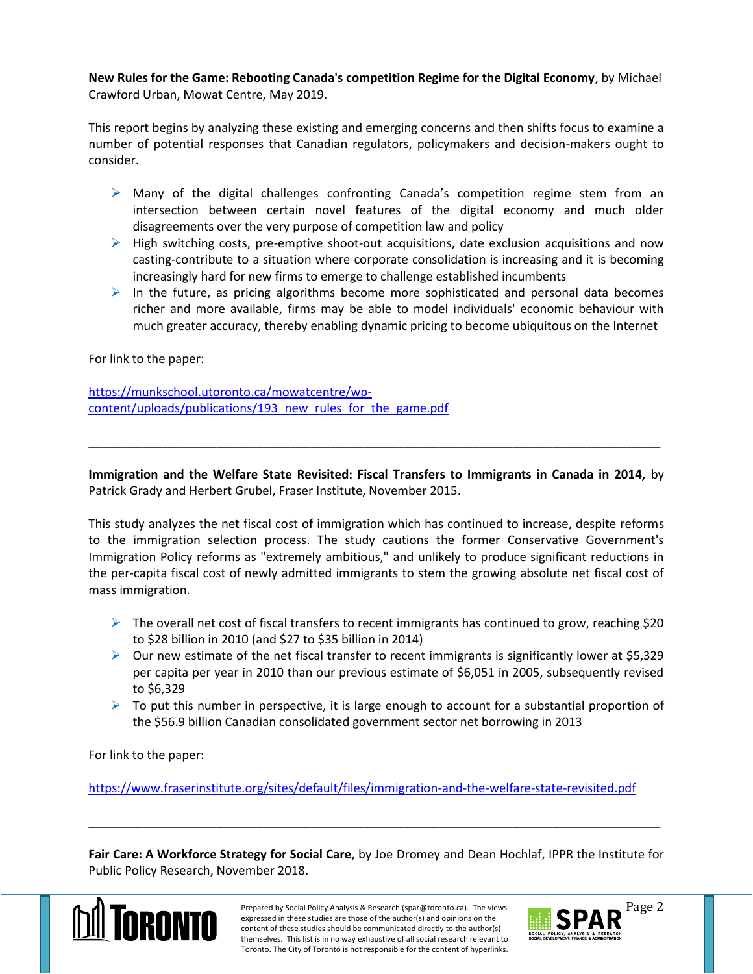**New Rules for the Game: Rebooting Canada's competition Regime for the Digital Economy**, by Michael Crawford Urban, Mowat Centre, May 2019.

This report begins by analyzing these existing and emerging concerns and then shifts focus to examine a number of potential responses that Canadian regulators, policymakers and decision-makers ought to consider.

- $\triangleright$  Many of the digital challenges confronting Canada's competition regime stem from an intersection between certain novel features of the digital economy and much older disagreements over the very purpose of competition law and policy
- $\triangleright$  High switching costs, pre-emptive shoot-out acquisitions, date exclusion acquisitions and now casting-contribute to a situation where corporate consolidation is increasing and it is becoming increasingly hard for new firms to emerge to challenge established incumbents
- $\triangleright$  In the future, as pricing algorithms become more sophisticated and personal data becomes richer and more available, firms may be able to model individuals' economic behaviour with much greater accuracy, thereby enabling dynamic pricing to become ubiquitous on the Internet

For link to the paper:

[https://munkschool.utoronto.ca/mowatcentre/wp](https://munkschool.utoronto.ca/mowatcentre/wp-content/uploads/publications/193_new_rules_for_the_game.pdf)[content/uploads/publications/193\\_new\\_rules\\_for\\_the\\_game.pdf](https://munkschool.utoronto.ca/mowatcentre/wp-content/uploads/publications/193_new_rules_for_the_game.pdf)

**Immigration and the Welfare State Revisited: Fiscal Transfers to Immigrants in Canada in 2014,** by Patrick Grady and Herbert Grubel, Fraser Institute, November 2015.

\_\_\_\_\_\_\_\_\_\_\_\_\_\_\_\_\_\_\_\_\_\_\_\_\_\_\_\_\_\_\_\_\_\_\_\_\_\_\_\_\_\_\_\_\_\_\_\_\_\_\_\_\_\_\_\_\_\_\_\_\_\_\_\_\_\_\_\_\_\_\_\_\_\_\_\_\_\_\_\_\_\_\_\_\_

This study analyzes the net fiscal cost of immigration which has continued to increase, despite reforms to the immigration selection process. The study cautions the former Conservative Government's Immigration Policy reforms as "extremely ambitious," and unlikely to produce significant reductions in the per-capita fiscal cost of newly admitted immigrants to stem the growing absolute net fiscal cost of mass immigration.

- $\triangleright$  The overall net cost of fiscal transfers to recent immigrants has continued to grow, reaching \$20 to \$28 billion in 2010 (and \$27 to \$35 billion in 2014)
- $\triangleright$  Our new estimate of the net fiscal transfer to recent immigrants is significantly lower at \$5,329 per capita per year in 2010 than our previous estimate of \$6,051 in 2005, subsequently revised to \$6,329
- $\triangleright$  To put this number in perspective, it is large enough to account for a substantial proportion of the \$56.9 billion Canadian consolidated government sector net borrowing in 2013

For link to the paper:

<https://www.fraserinstitute.org/sites/default/files/immigration-and-the-welfare-state-revisited.pdf>

**Fair Care: A Workforce Strategy for Social Care**, by Joe Dromey and Dean Hochlaf, IPPR the Institute for Public Policy Research, November 2018.

\_\_\_\_\_\_\_\_\_\_\_\_\_\_\_\_\_\_\_\_\_\_\_\_\_\_\_\_\_\_\_\_\_\_\_\_\_\_\_\_\_\_\_\_\_\_\_\_\_\_\_\_\_\_\_\_\_\_\_\_\_\_\_\_\_\_\_\_\_\_\_\_\_\_\_\_\_\_\_\_\_\_\_\_\_



Prepared by Social Policy Analysis & Research (spar@toronto.ca). The views Page 2 expressed in these studies are those of the author(s) and opinions on the content of these studies should be communicated directly to the author(s) themselves. This list is in no way exhaustive of all social research relevant to Toronto. The City of Toronto is not responsible for the content of hyperlinks.